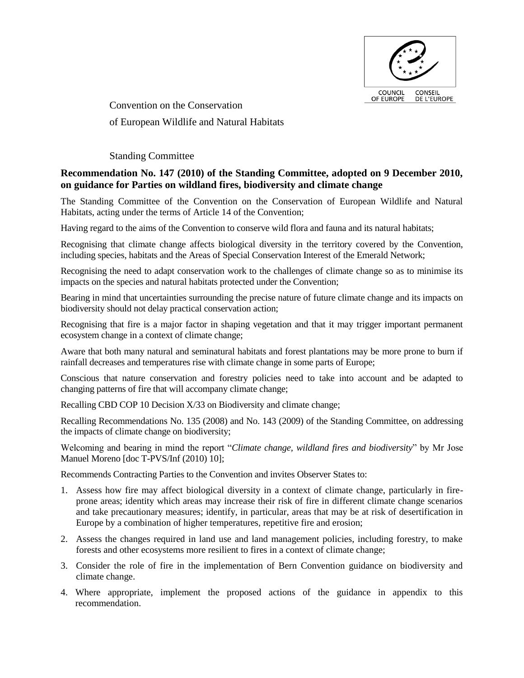

Convention on the Conservation of European Wildlife and Natural Habitats

Standing Committee

# **Recommendation No. 147 (2010) of the Standing Committee, adopted on 9 December 2010, on guidance for Parties on wildland fires, biodiversity and climate change**

The Standing Committee of the Convention on the Conservation of European Wildlife and Natural Habitats, acting under the terms of Article 14 of the Convention;

Having regard to the aims of the Convention to conserve wild flora and fauna and its natural habitats;

Recognising that climate change affects biological diversity in the territory covered by the Convention, including species, habitats and the Areas of Special Conservation Interest of the Emerald Network;

Recognising the need to adapt conservation work to the challenges of climate change so as to minimise its impacts on the species and natural habitats protected under the Convention;

Bearing in mind that uncertainties surrounding the precise nature of future climate change and its impacts on biodiversity should not delay practical conservation action;

Recognising that fire is a major factor in shaping vegetation and that it may trigger important permanent ecosystem change in a context of climate change;

Aware that both many natural and seminatural habitats and forest plantations may be more prone to burn if rainfall decreases and temperatures rise with climate change in some parts of Europe;

Conscious that nature conservation and forestry policies need to take into account and be adapted to changing patterns of fire that will accompany climate change;

Recalling CBD COP 10 Decision X/33 on Biodiversity and climate change;

Recalling Recommendations No. 135 (2008) and No. 143 (2009) of the Standing Committee, on addressing the impacts of climate change on biodiversity;

Welcoming and bearing in mind the report "*Climate change, wildland fires and biodiversity*" by Mr Jose Manuel Moreno [doc T-PVS/Inf (2010) 10];

Recommends Contracting Parties to the Convention and invites Observer States to:

- 1. Assess how fire may affect biological diversity in a context of climate change, particularly in fireprone areas; identity which areas may increase their risk of fire in different climate change scenarios and take precautionary measures; identify, in particular, areas that may be at risk of desertification in Europe by a combination of higher temperatures, repetitive fire and erosion;
- 2. Assess the changes required in land use and land management policies, including forestry, to make forests and other ecosystems more resilient to fires in a context of climate change;
- 3. Consider the role of fire in the implementation of Bern Convention guidance on biodiversity and climate change.
- 4. Where appropriate, implement the proposed actions of the guidance in appendix to this recommendation.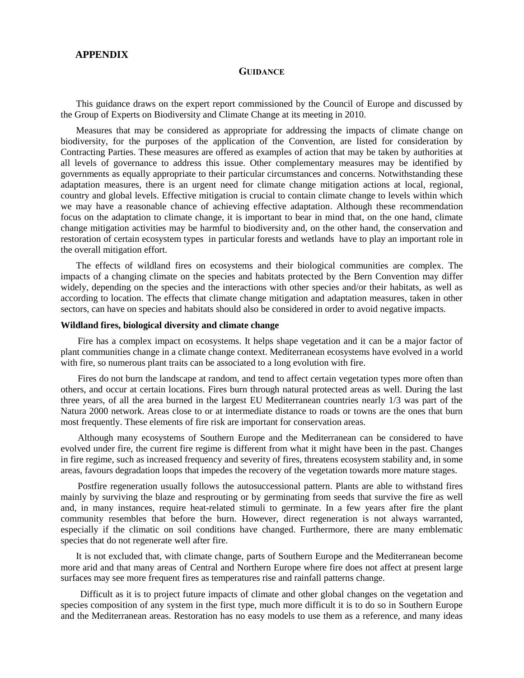# **APPENDIX**

### **GUIDANCE**

This guidance draws on the expert report commissioned by the Council of Europe and discussed by the Group of Experts on Biodiversity and Climate Change at its meeting in 2010.

Measures that may be considered as appropriate for addressing the impacts of climate change on biodiversity, for the purposes of the application of the Convention, are listed for consideration by Contracting Parties. These measures are offered as examples of action that may be taken by authorities at all levels of governance to address this issue. Other complementary measures may be identified by governments as equally appropriate to their particular circumstances and concerns. Notwithstanding these adaptation measures, there is an urgent need for climate change mitigation actions at local, regional, country and global levels. Effective mitigation is crucial to contain climate change to levels within which we may have a reasonable chance of achieving effective adaptation. Although these recommendation focus on the adaptation to climate change, it is important to bear in mind that, on the one hand, climate change mitigation activities may be harmful to biodiversity and, on the other hand, the conservation and restoration of certain ecosystem types in particular forests and wetlands have to play an important role in the overall mitigation effort.

The effects of wildland fires on ecosystems and their biological communities are complex. The impacts of a changing climate on the species and habitats protected by the Bern Convention may differ widely, depending on the species and the interactions with other species and/or their habitats, as well as according to location. The effects that climate change mitigation and adaptation measures, taken in other sectors, can have on species and habitats should also be considered in order to avoid negative impacts.

### **Wildland fires, biological diversity and climate change**

Fire has a complex impact on ecosystems. It helps shape vegetation and it can be a major factor of plant communities change in a climate change context. Mediterranean ecosystems have evolved in a world with fire, so numerous plant traits can be associated to a long evolution with fire.

Fires do not burn the landscape at random, and tend to affect certain vegetation types more often than others, and occur at certain locations. Fires burn through natural protected areas as well. During the last three years, of all the area burned in the largest EU Mediterranean countries nearly 1/3 was part of the Natura 2000 network. Areas close to or at intermediate distance to roads or towns are the ones that burn most frequently. These elements of fire risk are important for conservation areas.

Although many ecosystems of Southern Europe and the Mediterranean can be considered to have evolved under fire, the current fire regime is different from what it might have been in the past. Changes in fire regime, such as increased frequency and severity of fires, threatens ecosystem stability and, in some areas, favours degradation loops that impedes the recovery of the vegetation towards more mature stages.

Postfire regeneration usually follows the autosuccessional pattern. Plants are able to withstand fires mainly by surviving the blaze and resprouting or by germinating from seeds that survive the fire as well and, in many instances, require heat-related stimuli to germinate. In a few years after fire the plant community resembles that before the burn. However, direct regeneration is not always warranted, especially if the climatic on soil conditions have changed. Furthermore, there are many emblematic species that do not regenerate well after fire.

It is not excluded that, with climate change, parts of Southern Europe and the Mediterranean become more arid and that many areas of Central and Northern Europe where fire does not affect at present large surfaces may see more frequent fires as temperatures rise and rainfall patterns change.

Difficult as it is to project future impacts of climate and other global changes on the vegetation and species composition of any system in the first type, much more difficult it is to do so in Southern Europe and the Mediterranean areas. Restoration has no easy models to use them as a reference, and many ideas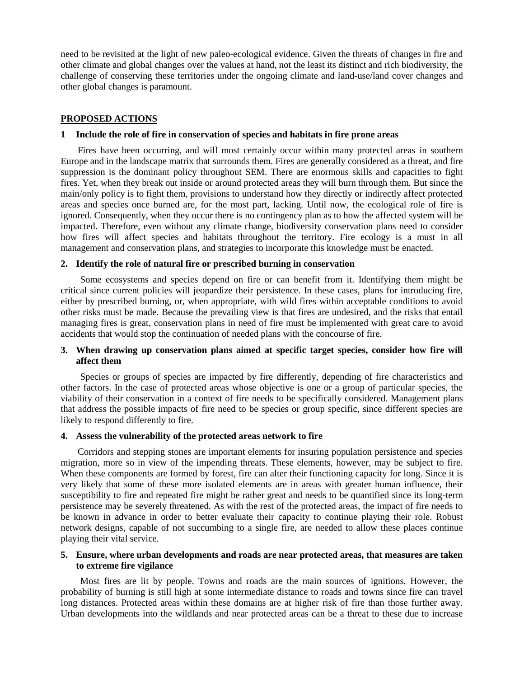need to be revisited at the light of new paleo-ecological evidence. Given the threats of changes in fire and other climate and global changes over the values at hand, not the least its distinct and rich biodiversity, the challenge of conserving these territories under the ongoing climate and land-use/land cover changes and other global changes is paramount.

#### **PROPOSED ACTIONS**

#### **1 Include the role of fire in conservation of species and habitats in fire prone areas**

Fires have been occurring, and will most certainly occur within many protected areas in southern Europe and in the landscape matrix that surrounds them. Fires are generally considered as a threat, and fire suppression is the dominant policy throughout SEM. There are enormous skills and capacities to fight fires. Yet, when they break out inside or around protected areas they will burn through them. But since the main/only policy is to fight them, provisions to understand how they directly or indirectly affect protected areas and species once burned are, for the most part, lacking. Until now, the ecological role of fire is ignored. Consequently, when they occur there is no contingency plan as to how the affected system will be impacted. Therefore, even without any climate change, biodiversity conservation plans need to consider how fires will affect species and habitats throughout the territory. Fire ecology is a must in all management and conservation plans, and strategies to incorporate this knowledge must be enacted.

### **2. Identify the role of natural fire or prescribed burning in conservation**

Some ecosystems and species depend on fire or can benefit from it. Identifying them might be critical since current policies will jeopardize their persistence. In these cases, plans for introducing fire, either by prescribed burning, or, when appropriate, with wild fires within acceptable conditions to avoid other risks must be made. Because the prevailing view is that fires are undesired, and the risks that entail managing fires is great, conservation plans in need of fire must be implemented with great care to avoid accidents that would stop the continuation of needed plans with the concourse of fire.

# **3. When drawing up conservation plans aimed at specific target species, consider how fire will affect them**

Species or groups of species are impacted by fire differently, depending of fire characteristics and other factors. In the case of protected areas whose objective is one or a group of particular species, the viability of their conservation in a context of fire needs to be specifically considered. Management plans that address the possible impacts of fire need to be species or group specific, since different species are likely to respond differently to fire.

#### **4. Assess the vulnerability of the protected areas network to fire**

Corridors and stepping stones are important elements for insuring population persistence and species migration, more so in view of the impending threats. These elements, however, may be subject to fire. When these components are formed by forest, fire can alter their functioning capacity for long. Since it is very likely that some of these more isolated elements are in areas with greater human influence, their susceptibility to fire and repeated fire might be rather great and needs to be quantified since its long-term persistence may be severely threatened. As with the rest of the protected areas, the impact of fire needs to be known in advance in order to better evaluate their capacity to continue playing their role. Robust network designs, capable of not succumbing to a single fire, are needed to allow these places continue playing their vital service.

### **5. Ensure, where urban developments and roads are near protected areas, that measures are taken to extreme fire vigilance**

Most fires are lit by people. Towns and roads are the main sources of ignitions. However, the probability of burning is still high at some intermediate distance to roads and towns since fire can travel long distances. Protected areas within these domains are at higher risk of fire than those further away. Urban developments into the wildlands and near protected areas can be a threat to these due to increase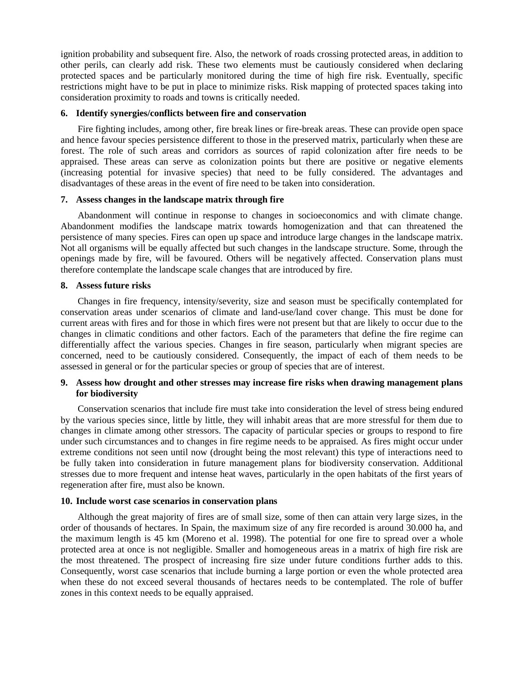ignition probability and subsequent fire. Also, the network of roads crossing protected areas, in addition to other perils, can clearly add risk. These two elements must be cautiously considered when declaring protected spaces and be particularly monitored during the time of high fire risk. Eventually, specific restrictions might have to be put in place to minimize risks. Risk mapping of protected spaces taking into consideration proximity to roads and towns is critically needed.

# **6. Identify synergies/conflicts between fire and conservation**

Fire fighting includes, among other, fire break lines or fire-break areas. These can provide open space and hence favour species persistence different to those in the preserved matrix, particularly when these are forest. The role of such areas and corridors as sources of rapid colonization after fire needs to be appraised. These areas can serve as colonization points but there are positive or negative elements (increasing potential for invasive species) that need to be fully considered. The advantages and disadvantages of these areas in the event of fire need to be taken into consideration.

# **7. Assess changes in the landscape matrix through fire**

Abandonment will continue in response to changes in socioeconomics and with climate change. Abandonment modifies the landscape matrix towards homogenization and that can threatened the persistence of many species. Fires can open up space and introduce large changes in the landscape matrix. Not all organisms will be equally affected but such changes in the landscape structure. Some, through the openings made by fire, will be favoured. Others will be negatively affected. Conservation plans must therefore contemplate the landscape scale changes that are introduced by fire.

#### **8. Assess future risks**

Changes in fire frequency, intensity/severity, size and season must be specifically contemplated for conservation areas under scenarios of climate and land-use/land cover change. This must be done for current areas with fires and for those in which fires were not present but that are likely to occur due to the changes in climatic conditions and other factors. Each of the parameters that define the fire regime can differentially affect the various species. Changes in fire season, particularly when migrant species are concerned, need to be cautiously considered. Consequently, the impact of each of them needs to be assessed in general or for the particular species or group of species that are of interest.

# **9. Assess how drought and other stresses may increase fire risks when drawing management plans for biodiversity**

Conservation scenarios that include fire must take into consideration the level of stress being endured by the various species since, little by little, they will inhabit areas that are more stressful for them due to changes in climate among other stressors. The capacity of particular species or groups to respond to fire under such circumstances and to changes in fire regime needs to be appraised. As fires might occur under extreme conditions not seen until now (drought being the most relevant) this type of interactions need to be fully taken into consideration in future management plans for biodiversity conservation. Additional stresses due to more frequent and intense heat waves, particularly in the open habitats of the first years of regeneration after fire, must also be known.

### **10. Include worst case scenarios in conservation plans**

Although the great majority of fires are of small size, some of then can attain very large sizes, in the order of thousands of hectares. In Spain, the maximum size of any fire recorded is around 30.000 ha, and the maximum length is 45 km (Moreno et al. 1998). The potential for one fire to spread over a whole protected area at once is not negligible. Smaller and homogeneous areas in a matrix of high fire risk are the most threatened. The prospect of increasing fire size under future conditions further adds to this. Consequently, worst case scenarios that include burning a large portion or even the whole protected area when these do not exceed several thousands of hectares needs to be contemplated. The role of buffer zones in this context needs to be equally appraised.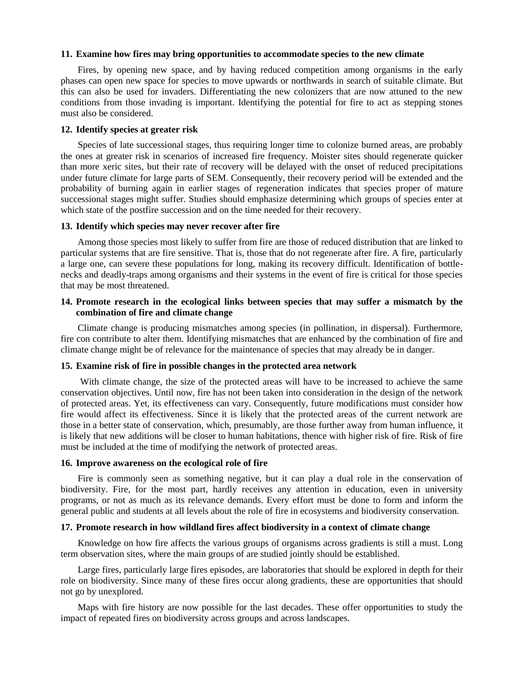#### **11. Examine how fires may bring opportunities to accommodate species to the new climate**

Fires, by opening new space, and by having reduced competition among organisms in the early phases can open new space for species to move upwards or northwards in search of suitable climate. But this can also be used for invaders. Differentiating the new colonizers that are now attuned to the new conditions from those invading is important. Identifying the potential for fire to act as stepping stones must also be considered.

### **12. Identify species at greater risk**

Species of late successional stages, thus requiring longer time to colonize burned areas, are probably the ones at greater risk in scenarios of increased fire frequency. Moister sites should regenerate quicker than more xeric sites, but their rate of recovery will be delayed with the onset of reduced precipitations under future climate for large parts of SEM. Consequently, their recovery period will be extended and the probability of burning again in earlier stages of regeneration indicates that species proper of mature successional stages might suffer. Studies should emphasize determining which groups of species enter at which state of the postfire succession and on the time needed for their recovery.

### **13. Identify which species may never recover after fire**

Among those species most likely to suffer from fire are those of reduced distribution that are linked to particular systems that are fire sensitive. That is, those that do not regenerate after fire. A fire, particularly a large one, can severe these populations for long, making its recovery difficult. Identification of bottlenecks and deadly-traps among organisms and their systems in the event of fire is critical for those species that may be most threatened.

# **14. Promote research in the ecological links between species that may suffer a mismatch by the combination of fire and climate change**

Climate change is producing mismatches among species (in pollination, in dispersal). Furthermore, fire con contribute to alter them. Identifying mismatches that are enhanced by the combination of fire and climate change might be of relevance for the maintenance of species that may already be in danger.

#### **15. Examine risk of fire in possible changes in the protected area network**

With climate change, the size of the protected areas will have to be increased to achieve the same conservation objectives. Until now, fire has not been taken into consideration in the design of the network of protected areas. Yet, its effectiveness can vary. Consequently, future modifications must consider how fire would affect its effectiveness. Since it is likely that the protected areas of the current network are those in a better state of conservation, which, presumably, are those further away from human influence, it is likely that new additions will be closer to human habitations, thence with higher risk of fire. Risk of fire must be included at the time of modifying the network of protected areas.

#### **16. Improve awareness on the ecological role of fire**

Fire is commonly seen as something negative, but it can play a dual role in the conservation of biodiversity. Fire, for the most part, hardly receives any attention in education, even in university programs, or not as much as its relevance demands. Every effort must be done to form and inform the general public and students at all levels about the role of fire in ecosystems and biodiversity conservation.

# **17. Promote research in how wildland fires affect biodiversity in a context of climate change**

Knowledge on how fire affects the various groups of organisms across gradients is still a must. Long term observation sites, where the main groups of are studied jointly should be established.

Large fires, particularly large fires episodes, are laboratories that should be explored in depth for their role on biodiversity. Since many of these fires occur along gradients, these are opportunities that should not go by unexplored.

Maps with fire history are now possible for the last decades. These offer opportunities to study the impact of repeated fires on biodiversity across groups and across landscapes.